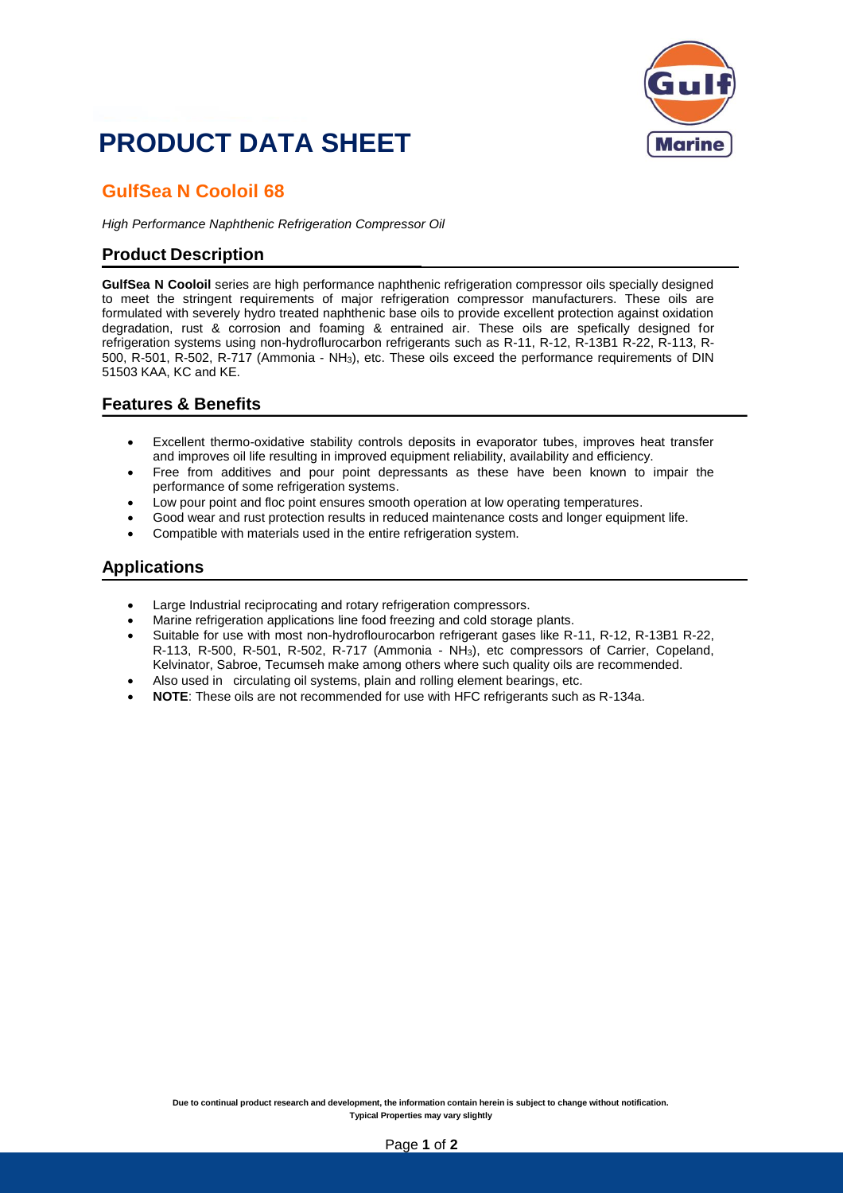

## **PRODUCT DATA SHEET**

### **GulfSea N Cooloil 68**

*High Performance Naphthenic Refrigeration Compressor Oil*

#### **Product Description**

**GulfSea N Cooloil** series are high performance naphthenic refrigeration compressor oils specially designed to meet the stringent requirements of major refrigeration compressor manufacturers. These oils are formulated with severely hydro treated naphthenic base oils to provide excellent protection against oxidation degradation, rust & corrosion and foaming & entrained air. These oils are spefically designed for refrigeration systems using non-hydroflurocarbon refrigerants such as R-11, R-12, R-13B1 R-22, R-113, R-500, R-501, R-502, R-717 (Ammonia - NH3), etc. These oils exceed the performance requirements of DIN 51503 KAA, KC and KE.

#### **Features & Benefits**

- Excellent thermo-oxidative stability controls deposits in evaporator tubes, improves heat transfer and improves oil life resulting in improved equipment reliability, availability and efficiency.
- Free from additives and pour point depressants as these have been known to impair the performance of some refrigeration systems.
- Low pour point and floc point ensures smooth operation at low operating temperatures.
- Good wear and rust protection results in reduced maintenance costs and longer equipment life.
- Compatible with materials used in the entire refrigeration system.

#### **Applications**

- Large Industrial reciprocating and rotary refrigeration compressors.
- Marine refrigeration applications line food freezing and cold storage plants.
- Suitable for use with most non-hydroflourocarbon refrigerant gases like R-11, R-12, R-13B1 R-22, R-113, R-500, R-501, R-502, R-717 (Ammonia - NH3), etc compressors of Carrier, Copeland, Kelvinator, Sabroe, Tecumseh make among others where such quality oils are recommended.
- Also used in circulating oil systems, plain and rolling element bearings, etc.
- **NOTE**: These oils are not recommended for use with HFC refrigerants such as R-134a.